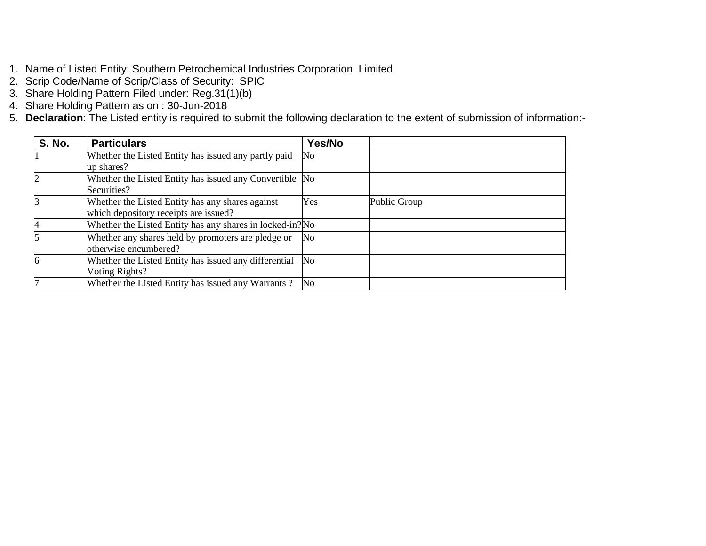- 1. Name of Listed Entity: Southern Petrochemical Industries Corporation Limited
- 2. Scrip Code/Name of Scrip/Class of Security: SPIC
- 3. Share Holding Pattern Filed under: Reg.31(1)(b)
- 4. Share Holding Pattern as on : 30-Jun-2018
- 5. **Declaration**: The Listed entity is required to submit the following declaration to the extent of submission of information:-

| <b>S. No.</b> | <b>Particulars</b>                                        | Yes/No         |              |
|---------------|-----------------------------------------------------------|----------------|--------------|
|               | Whether the Listed Entity has issued any partly paid      | No             |              |
|               | up shares?                                                |                |              |
|               | Whether the Listed Entity has issued any Convertible No   |                |              |
|               | Securities?                                               |                |              |
|               | Whether the Listed Entity has any shares against          | Yes            | Public Group |
|               | which depository receipts are issued?                     |                |              |
|               | Whether the Listed Entity has any shares in locked-in? No |                |              |
|               | Whether any shares held by promoters are pledge or        | No             |              |
|               | otherwise encumbered?                                     |                |              |
|               | Whether the Listed Entity has issued any differential     | N <sub>0</sub> |              |
|               | Voting Rights?                                            |                |              |
|               | Whether the Listed Entity has issued any Warrants?        | N <sub>0</sub> |              |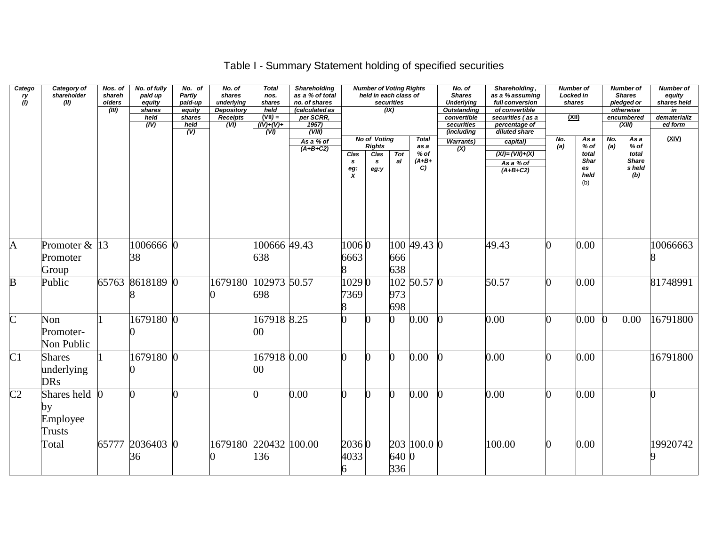## Table I - Summary Statement holding of specified securities

| Catego<br>ry<br>(I)     | Category of<br>shareholder<br>(II)        | Nos. of<br>shareh<br>olders<br>(III) | No. of fully<br>paid up<br>equity<br>shares<br>held<br>(IV) | No. of<br>Partly<br>paid-up<br>equity<br>shares<br>held<br>(V) | No. of<br>shares<br>underlying<br><b>Depository</b><br>Receipts<br>(VI) | <b>Total</b><br>nos.<br>shares<br>held<br>$(VII) =$<br>$(IV)+(V)+$<br>$\overline{(VU)}$ | <b>Shareholding</b><br>as a % of total<br>no. of shares<br>(calculated as<br>per SCRR,<br>1957)<br>(VIII) |                             | <b>Number of Voting Rights</b><br>held in each class of       | securities<br>(X) |                                                 | No. of<br><b>Shares</b><br><b>Underlying</b><br><b>Outstanding</b><br>convertible<br>securities<br>(including | Shareholding,<br>as a % assuming<br>full conversion<br>of convertible<br>securities (as a<br>percentage of<br>diluted share | <b>Number of</b><br>Locked in<br><u>(XII)</u> | shares                                               |            | <b>Number of</b><br><b>Shares</b><br>pledged or<br>otherwise<br>encumbered<br>(XIII) | <b>Number of</b><br>equity<br>shares held<br>in<br>dematerializ<br>ed form |
|-------------------------|-------------------------------------------|--------------------------------------|-------------------------------------------------------------|----------------------------------------------------------------|-------------------------------------------------------------------------|-----------------------------------------------------------------------------------------|-----------------------------------------------------------------------------------------------------------|-----------------------------|---------------------------------------------------------------|-------------------|-------------------------------------------------|---------------------------------------------------------------------------------------------------------------|-----------------------------------------------------------------------------------------------------------------------------|-----------------------------------------------|------------------------------------------------------|------------|--------------------------------------------------------------------------------------|----------------------------------------------------------------------------|
|                         |                                           |                                      |                                                             |                                                                |                                                                         |                                                                                         | As a % of<br>$(A+B+C2)$                                                                                   | Clas<br>s<br>$\frac{eg}{X}$ | No of Voting<br><b>Rights</b><br>Clas<br>$\mathbf{s}$<br>eg:y | Tot<br>al         | <b>Total</b><br>as a<br>$%$ of<br>$(A+B+$<br>C) | <b>Warrants)</b><br>(X)                                                                                       | capital)<br>$(XI) = (VII) + (X)$<br>As a % of<br>$(A+B+C2)$                                                                 | No.<br>(a)                                    | As a<br>$%$ of<br>total<br>Shar<br>es<br>held<br>(b) | No.<br>(a) | As a<br>% of<br>total<br><b>Share</b><br>s held<br>(b)                               | (XIV)                                                                      |
| $\mathbf{A}$            | Promoter $&$ 13<br>Promoter<br>Group      |                                      | 1006666 0<br>38                                             |                                                                |                                                                         | 100666 49.43<br>638                                                                     |                                                                                                           | 10060<br>6663               |                                                               | 666<br>638        | 100 49.43 0                                     |                                                                                                               | 49.43                                                                                                                       | ∩                                             | 0.00                                                 |            |                                                                                      | 10066663                                                                   |
| $\overline{\mathbf{B}}$ | Public                                    | 65763                                | 8618189 0                                                   |                                                                | 1679180                                                                 | 102973 50.57<br>698                                                                     |                                                                                                           | 10290<br>7369               |                                                               | 973<br>698        | 102 50.57 0                                     |                                                                                                               | 50.57                                                                                                                       |                                               | 0.00                                                 |            |                                                                                      | 81748991                                                                   |
| $\overline{\rm C}$      | Non<br>Promoter-<br>Non Public            |                                      | 1679180 0                                                   |                                                                |                                                                         | 167918 8.25<br>$00\,$                                                                   |                                                                                                           |                             |                                                               |                   | 0.00                                            |                                                                                                               | 0.00                                                                                                                        |                                               | 0.00                                                 |            | 0.00                                                                                 | 16791800                                                                   |
| C1                      | <b>Shares</b><br>underlying<br><b>DRs</b> |                                      | 1679180 0                                                   |                                                                |                                                                         | 167918 0.00<br>00                                                                       |                                                                                                           |                             |                                                               | <sup>0</sup>      | 0.00                                            |                                                                                                               | 0.00                                                                                                                        |                                               | 0.00                                                 |            |                                                                                      | 16791800                                                                   |
| $\overline{\text{C2}}$  | Shares held<br>by<br>Employee<br>Trusts   |                                      |                                                             |                                                                |                                                                         |                                                                                         | 0.00                                                                                                      |                             | ∩                                                             | $\overline{0}$    | $0.00\,$                                        |                                                                                                               | 0.00                                                                                                                        | ∩                                             | 0.00                                                 |            |                                                                                      |                                                                            |
|                         | Total                                     | 65777                                | 2036403 0<br>36                                             |                                                                | 1679180                                                                 | 220432 100.00<br>136                                                                    |                                                                                                           | 20360<br>4033               |                                                               | 640 0<br>336      | 203 100.0 0                                     |                                                                                                               | 100.00                                                                                                                      | n                                             | 0.00                                                 |            |                                                                                      | 19920742                                                                   |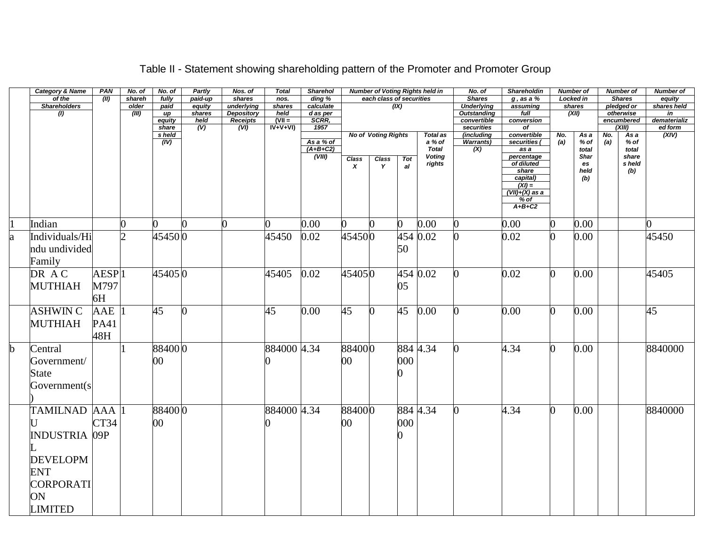|             | <b>Category &amp; Name</b> | PAN               | No. of                      | No. of          | Partly                            | Nos. of                              | <b>Total</b>     | <b>Sharehol</b>   |                           |                            |     | <b>Number of Voting Rights held in</b> | No. of                    | <b>Shareholdin</b>            |     | <b>Number of</b> |     | <b>Number of</b>     | Number of          |
|-------------|----------------------------|-------------------|-----------------------------|-----------------|-----------------------------------|--------------------------------------|------------------|-------------------|---------------------------|----------------------------|-----|----------------------------------------|---------------------------|-------------------------------|-----|------------------|-----|----------------------|--------------------|
|             | of the                     | (II)              | shareh                      | fully           | paid-up                           | shares                               | nos.             | ding %            |                           | each class of securities   |     |                                        | <b>Shares</b>             | $g$ , as a $%$                |     | <b>Locked in</b> |     | <b>Shares</b>        | equity             |
|             | <b>Shareholders</b>        |                   | older                       | paid            | equity                            | underlying                           | shares           | calculate         |                           |                            | (X) |                                        | <b>Underlying</b>         | assuming                      |     | shares           |     | pledged or           | shares held        |
|             | (1)                        |                   | (III)                       | иp              | shares                            | <b>Depository</b>                    | held<br>$(VII =$ | d as per<br>SCRR, |                           |                            |     |                                        | <b>Outstanding</b>        | full                          |     | (XII)            |     | otherwise            | in<br>dematerializ |
|             |                            |                   |                             | equity<br>share | held<br>$\overline{(\mathsf{V})}$ | <b>Receipts</b><br>$\overline{(VI)}$ | $IV+V+VI)$       | 1957              |                           |                            |     |                                        | convertible<br>securities | conversion<br>$\overline{of}$ |     |                  |     | encumbered<br>(XIII) | ed form            |
|             |                            |                   |                             | s held          |                                   |                                      |                  |                   |                           | <b>No of Voting Rights</b> |     | <b>Total as</b>                        | (including                | convertible                   | No. | As a             | No. | As a                 | (XIV)              |
|             |                            |                   |                             | (IV)            |                                   |                                      |                  | As a % of         |                           |                            |     | a % of                                 | <b>Warrants)</b>          | securities (                  | (a) | % of             | (a) | % of                 |                    |
|             |                            |                   |                             |                 |                                   |                                      |                  | $(A+B+C2)$        |                           |                            |     | <b>Total</b>                           | $\overline{(\mathsf{X})}$ | as a                          |     | total            |     | total                |                    |
|             |                            |                   |                             |                 |                                   |                                      |                  | (VIII)            | <b>Class</b>              | Class                      | Tot | <b>Voting</b><br>rights                |                           | percentage<br>of diluted      |     | Shar<br>es       |     | share<br>s held      |                    |
|             |                            |                   |                             |                 |                                   |                                      |                  |                   | $\boldsymbol{\mathsf{x}}$ | Y                          | al  |                                        |                           | share                         |     | held             |     | (b)                  |                    |
|             |                            |                   |                             |                 |                                   |                                      |                  |                   |                           |                            |     |                                        |                           | capital)                      |     | (b)              |     |                      |                    |
|             |                            |                   |                             |                 |                                   |                                      |                  |                   |                           |                            |     |                                        |                           | $(XI) =$                      |     |                  |     |                      |                    |
|             |                            |                   |                             |                 |                                   |                                      |                  |                   |                           |                            |     |                                        |                           | $(VII)+(X)$ as a<br>$%$ of    |     |                  |     |                      |                    |
|             |                            |                   |                             |                 |                                   |                                      |                  |                   |                           |                            |     |                                        |                           | $A+B+C2$                      |     |                  |     |                      |                    |
|             |                            |                   |                             |                 |                                   |                                      |                  |                   |                           |                            |     |                                        |                           |                               |     |                  |     |                      |                    |
| 11          | Indian                     |                   | 0                           | 0               |                                   | 0                                    |                  | 0.00              | 0                         |                            | 0   | 0.00                                   |                           | 0.00                          | 0   | 0.00             |     |                      |                    |
| a           | Individuals/Hi             |                   | $\mathcal{D}_{\mathcal{L}}$ | 45450 0         |                                   |                                      | 45450            | 0.02              | 454500                    |                            |     | 454 0.02                               |                           | 0.02                          |     | 0.00             |     |                      | 45450              |
|             | ndu undivided              |                   |                             |                 |                                   |                                      |                  |                   |                           |                            | 50  |                                        |                           |                               |     |                  |     |                      |                    |
|             |                            |                   |                             |                 |                                   |                                      |                  |                   |                           |                            |     |                                        |                           |                               |     |                  |     |                      |                    |
|             | Family                     |                   |                             |                 |                                   |                                      |                  |                   |                           |                            |     |                                        |                           |                               |     |                  |     |                      |                    |
|             | DR AC                      | AESP <sub>1</sub> |                             | 454050          |                                   |                                      | 45405            | 0.02              | 454050                    |                            |     | 454 0.02                               |                           | 0.02                          | 0   | 0.00             |     |                      | 45405              |
|             | <b>MUTHIAH</b>             | M797              |                             |                 |                                   |                                      |                  |                   |                           |                            | 05  |                                        |                           |                               |     |                  |     |                      |                    |
|             |                            |                   |                             |                 |                                   |                                      |                  |                   |                           |                            |     |                                        |                           |                               |     |                  |     |                      |                    |
|             |                            | 6H                |                             |                 |                                   |                                      |                  |                   |                           |                            |     |                                        |                           |                               |     |                  |     |                      |                    |
|             | <b>ASHWIN C</b>            | AAE               |                             | 45              |                                   |                                      | 45               | 0.00              | 45                        | <sup>0</sup>               | 45  | 0.00                                   |                           | 0.00                          | 0   | 0.00             |     |                      | 45                 |
|             |                            |                   |                             |                 |                                   |                                      |                  |                   |                           |                            |     |                                        |                           |                               |     |                  |     |                      |                    |
|             | <b>MUTHIAH</b>             | PA41              |                             |                 |                                   |                                      |                  |                   |                           |                            |     |                                        |                           |                               |     |                  |     |                      |                    |
|             |                            | 48H               |                             |                 |                                   |                                      |                  |                   |                           |                            |     |                                        |                           |                               |     |                  |     |                      |                    |
| $\mathbf b$ | Central                    |                   |                             | 884000          |                                   |                                      | 884000 4.34      |                   | 884000                    |                            |     | 884 4.34                               |                           | 4.34                          | O   | 0.00             |     |                      | 8840000            |
|             |                            |                   |                             |                 |                                   |                                      |                  |                   | $00\,$                    |                            | 000 |                                        |                           |                               |     |                  |     |                      |                    |
|             | Government/                |                   |                             | $00\,$          |                                   |                                      |                  |                   |                           |                            |     |                                        |                           |                               |     |                  |     |                      |                    |
|             | <b>State</b>               |                   |                             |                 |                                   |                                      |                  |                   |                           |                            |     |                                        |                           |                               |     |                  |     |                      |                    |
|             | Government(s)              |                   |                             |                 |                                   |                                      |                  |                   |                           |                            |     |                                        |                           |                               |     |                  |     |                      |                    |
|             |                            |                   |                             |                 |                                   |                                      |                  |                   |                           |                            |     |                                        |                           |                               |     |                  |     |                      |                    |
|             |                            |                   |                             |                 |                                   |                                      |                  |                   |                           |                            |     |                                        |                           |                               |     |                  |     |                      |                    |
|             | TAMILNAD AAA  1            |                   |                             | 884000          |                                   |                                      | 884000 4.34      |                   | 884000                    |                            |     | 884 4.34                               |                           | 4.34                          | ∩   | 0.00             |     |                      | 8840000            |
|             |                            | CT34              |                             | 00              |                                   |                                      |                  |                   | 00                        |                            | 000 |                                        |                           |                               |     |                  |     |                      |                    |
|             | <b>INDUSTRIA 09P</b>       |                   |                             |                 |                                   |                                      |                  |                   |                           |                            |     |                                        |                           |                               |     |                  |     |                      |                    |
|             |                            |                   |                             |                 |                                   |                                      |                  |                   |                           |                            |     |                                        |                           |                               |     |                  |     |                      |                    |
|             |                            |                   |                             |                 |                                   |                                      |                  |                   |                           |                            |     |                                        |                           |                               |     |                  |     |                      |                    |
|             | <b>DEVELOPM</b>            |                   |                             |                 |                                   |                                      |                  |                   |                           |                            |     |                                        |                           |                               |     |                  |     |                      |                    |
|             | <b>ENT</b>                 |                   |                             |                 |                                   |                                      |                  |                   |                           |                            |     |                                        |                           |                               |     |                  |     |                      |                    |
|             | <b>CORPORATI</b>           |                   |                             |                 |                                   |                                      |                  |                   |                           |                            |     |                                        |                           |                               |     |                  |     |                      |                    |
|             | ON                         |                   |                             |                 |                                   |                                      |                  |                   |                           |                            |     |                                        |                           |                               |     |                  |     |                      |                    |
|             |                            |                   |                             |                 |                                   |                                      |                  |                   |                           |                            |     |                                        |                           |                               |     |                  |     |                      |                    |
|             | <b>LIMITED</b>             |                   |                             |                 |                                   |                                      |                  |                   |                           |                            |     |                                        |                           |                               |     |                  |     |                      |                    |

### Table II - Statement showing shareholding pattern of the Promoter and Promoter Group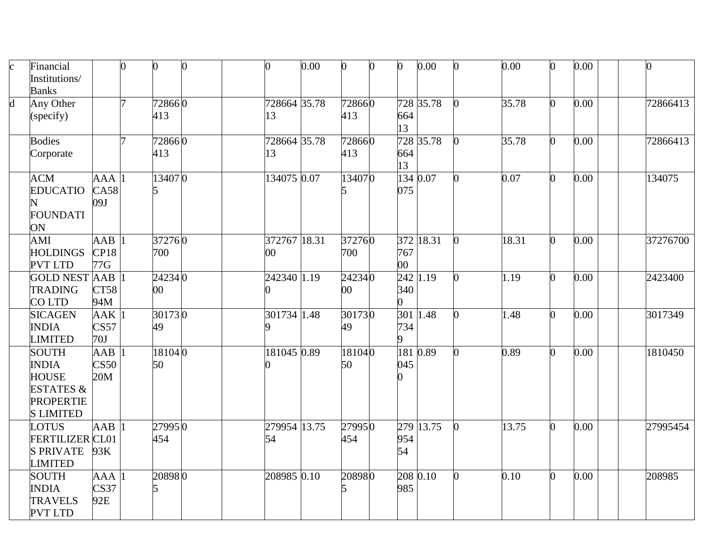| $\mathbf c$ | Financial<br>Institutions/<br><b>Banks</b>                                                                   |                                 | 0 | 0                | 0 | 0                  | 0.00 | $\bf{0}$         | 0 | $\bf{0}$      | 0.00      | 0.00  | 0  | 0.00 |          |
|-------------|--------------------------------------------------------------------------------------------------------------|---------------------------------|---|------------------|---|--------------------|------|------------------|---|---------------|-----------|-------|----|------|----------|
| $\mathbf d$ | Any Other<br>(specify)                                                                                       |                                 | 7 | 728660<br>413    |   | 728664 35.78<br>13 |      | 728660<br>413    |   | 664<br>13     | 728 35.78 | 35.78 |    | 0.00 | 72866413 |
|             | <b>Bodies</b><br>Corporate                                                                                   |                                 | 7 | 728660<br>413    |   | 728664 35.78<br>13 |      | 728660<br>413    |   | 664<br>13     | 728 35.78 | 35.78 | n  | 0.00 | 72866413 |
|             | <b>ACM</b><br><b>EDUCATIO</b><br><b>FOUNDATI</b><br>ON                                                       | AAA<br>CA58<br>09J              |   | 134070           |   | 134075 0.07        |      | 134070           |   | 075           | 134 0.07  | 0.07  | O. | 0.00 | 134075   |
|             | AMI<br><b>HOLDINGS</b><br><b>PVT LTD</b>                                                                     | $\overline{AAB}$<br>CP18<br>77G |   | 372760<br>700    |   | 372767 18.31<br>00 |      | 372760<br>700    |   | 767<br>$00\,$ | 372 18.31 | 18.31 |    | 0.00 | 37276700 |
|             | <b>GOLD NEST AAB</b><br><b>TRADING</b><br>CO LTD                                                             | CT58<br>94M                     |   | 242340<br>$00\,$ |   | 242340 1.19        |      | 242340<br>$00\,$ |   | 340<br>0      | 242 1.19  | 1.19  | n  | 0.00 | 2423400  |
|             | <b>SICAGEN</b><br><b>INDIA</b><br><b>LIMITED</b>                                                             | AAK <sup>1</sup><br>CS57<br>70J |   | 301730<br>49     |   | 301734 1.48        |      | 301730<br>49     |   | 734<br>9      | 301 1.48  | 1.48  | O  | 0.00 | 3017349  |
|             | <b>SOUTH</b><br><b>INDIA</b><br><b>HOUSE</b><br><b>ESTATES &amp;</b><br><b>PROPERTIE</b><br><b>S LIMITED</b> | $A$ A $B$<br>CS50<br>20M        |   | 181040<br>50     |   | 181045 0.89        |      | 181040<br>50     |   | 045           | 181 0.89  | 0.89  | 0  | 0.00 | 1810450  |
|             | <b>LOTUS</b><br><b>FERTILIZER CL01</b><br><b>S PRIVATE</b><br><b>LIMITED</b>                                 | AAB<br>93K                      |   | 279950<br>454    |   | 279954 13.75<br>54 |      | 279950<br>454    |   | 954<br>54     | 279 13.75 | 13.75 |    | 0.00 | 27995454 |
|             | <b>SOUTH</b><br><b>INDIA</b><br><b>TRAVELS</b><br><b>PVT LTD</b>                                             | AAA<br>CS37<br>92E              |   | 208980<br>5      |   | 208985 0.10        |      | 208980           |   | 985           | 2080.10   | 0.10  | 0  | 0.00 | 208985   |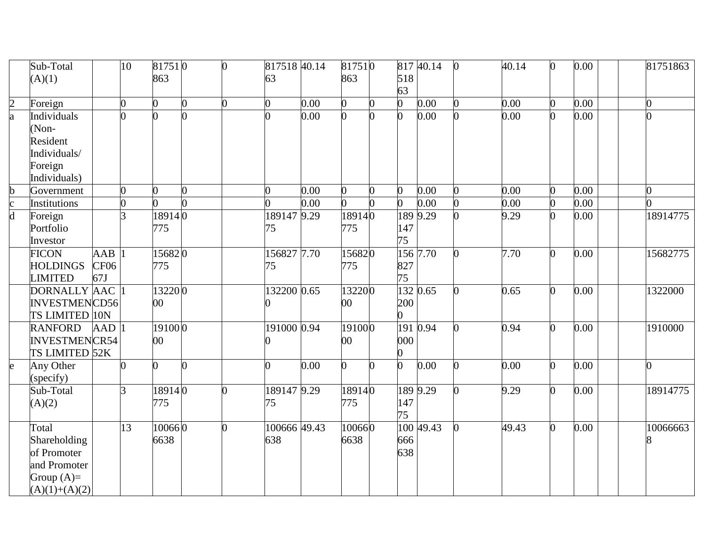|                         | Sub-Total            |                  | 10             | 817510         |   | $\overline{0}$ | 817518 40.14   |      | 817510 |   |                | 817 40.14 | $\Omega$ | 40.14 | 0              | 0.00 | 81751863       |
|-------------------------|----------------------|------------------|----------------|----------------|---|----------------|----------------|------|--------|---|----------------|-----------|----------|-------|----------------|------|----------------|
|                         | (A)(1)               |                  |                | 863            |   |                | 63             |      | 863    |   | 518            |           |          |       |                |      |                |
|                         |                      |                  |                |                |   |                |                |      |        |   | 63             |           |          |       |                |      |                |
| $\overline{2}$          | Foreign              |                  | $\overline{0}$ | $\overline{0}$ | 0 | $\Omega$       | $\overline{0}$ | 0.00 | 0      | 0 | $\overline{0}$ | 0.00      |          | 0.00  | $\overline{0}$ | 0.00 | $\overline{0}$ |
| a                       | Individuals          |                  | 0              | 0              |   |                |                | 0.00 |        |   | 0              | 0.00      |          | 0.00  |                | 0.00 | 0              |
|                         | (Non-                |                  |                |                |   |                |                |      |        |   |                |           |          |       |                |      |                |
|                         | Resident             |                  |                |                |   |                |                |      |        |   |                |           |          |       |                |      |                |
|                         | Individuals/         |                  |                |                |   |                |                |      |        |   |                |           |          |       |                |      |                |
|                         | Foreign              |                  |                |                |   |                |                |      |        |   |                |           |          |       |                |      |                |
|                         | Individuals)         |                  |                |                |   |                |                |      |        |   |                |           |          |       |                |      |                |
| b                       | Government           |                  | 0              | 0              | O |                | 0              | 0.00 | 0      | 0 | 0              | 0.00      |          | 0.00  | O              | 0.00 | 0              |
|                         | Institutions         |                  | 0              | $\Omega$       | ∩ |                |                | 0.00 | 0      |   | $\overline{0}$ | 0.00      |          | 0.00  | 0              | 0.00 |                |
| $\overline{\mathsf{d}}$ | Foreign              |                  | 3              | 189140         |   |                | 189147 9.29    |      | 189140 |   |                | 189 9.29  |          | 9.29  | O              | 0.00 | 18914775       |
|                         | Portfolio            |                  |                | 775            |   |                | 75             |      | 775    |   | 147            |           |          |       |                |      |                |
|                         | Investor             |                  |                |                |   |                |                |      |        |   | 75             |           |          |       |                |      |                |
|                         | <b>FICON</b>         | AAB              |                | 156820         |   |                | 156827 7.70    |      | 156820 |   |                | 156 7.70  |          | 7.70  | O.             | 0.00 | 15682775       |
|                         | <b>HOLDINGS</b>      | CF <sub>06</sub> |                | 775            |   |                | 75             |      | 775    |   | 827            |           |          |       |                |      |                |
|                         | <b>LIMITED</b>       | 67J              |                |                |   |                |                |      |        |   | 75             |           |          |       |                |      |                |
|                         | DORNALLY AAC         |                  |                | 132200         |   |                | 132200 0.65    |      | 132200 |   |                | 132 0.65  |          | 0.65  | 0              | 0.00 | 1322000        |
|                         | <b>INVESTMENCD56</b> |                  |                | $00\,$         |   |                |                |      | $00\,$ |   | 200            |           |          |       |                |      |                |
|                         | TS LIMITED 10N       |                  |                |                |   |                |                |      |        |   | 0              |           |          |       |                |      |                |
|                         | <b>RANFORD</b>       | <b>AAD</b>       |                | 191000         |   |                | 191000 0.94    |      | 191000 |   | 191            | 0.94      |          | 0.94  | 0              | 0.00 | 1910000        |
|                         | <b>INVESTMENCR54</b> |                  |                | 00             |   |                |                |      | 00     |   | 000            |           |          |       |                |      |                |
|                         | TS LIMITED 52K       |                  |                |                |   |                |                |      |        |   | 0              |           |          |       |                |      |                |
| e                       | Any Other            |                  | $\Omega$       | $\overline{0}$ | O |                | $\Omega$       | 0.00 | 0      |   | $\overline{0}$ | 0.00      |          | 0.00  | 0              | 0.00 | $\overline{0}$ |
|                         | (specify)            |                  |                |                |   |                |                |      |        |   |                |           |          |       |                |      |                |
|                         | Sub-Total            |                  | 3              | 189140         |   | 0              | 189147 9.29    |      | 189140 |   |                | 189 9.29  |          | 9.29  | $\overline{0}$ | 0.00 | 18914775       |
|                         | (A)(2)               |                  |                | 775            |   |                | 75             |      | 775    |   | 147            |           |          |       |                |      |                |
|                         |                      |                  |                |                |   |                |                |      |        |   | 75             |           |          |       |                |      |                |
|                         | Total                |                  | 13             | 100660         |   | 0              | 100666 49.43   |      | 100660 |   |                | 100 49.43 |          | 49.43 | 0              | 0.00 | 10066663       |
|                         | Shareholding         |                  |                | 6638           |   |                | 638            |      | 6638   |   | 666            |           |          |       |                |      |                |
|                         | of Promoter          |                  |                |                |   |                |                |      |        |   | 638            |           |          |       |                |      |                |
|                         | and Promoter         |                  |                |                |   |                |                |      |        |   |                |           |          |       |                |      |                |
|                         | Group $(A)=$         |                  |                |                |   |                |                |      |        |   |                |           |          |       |                |      |                |
|                         | $(A)(1)+(A)(2)$      |                  |                |                |   |                |                |      |        |   |                |           |          |       |                |      |                |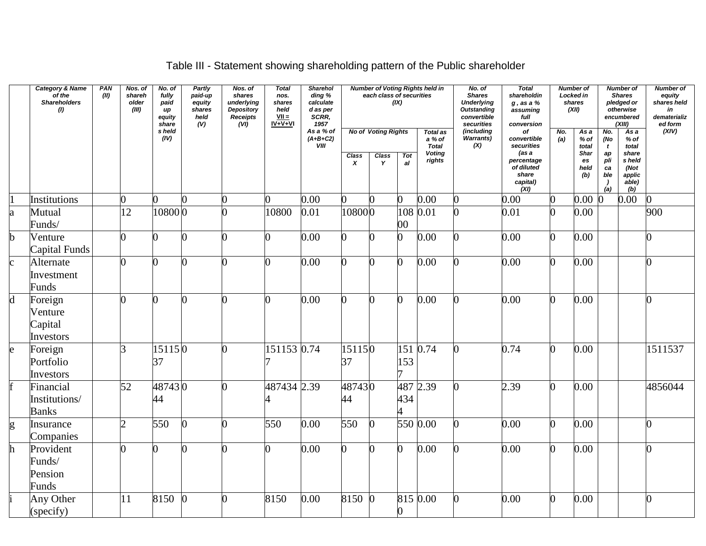# Table III - Statement showing shareholding pattern of the Public shareholder

|              | <b>Category &amp; Name</b><br>$\int$ of the<br><b>Shareholders</b><br>(1) | PAN<br>(II) | Nos. of<br>shareh<br>older<br>(III) | No. of<br>fully<br>paid<br>иp<br>equity<br>share | Partly<br>paid-up<br>equity<br>shares<br>held<br>(V) | Nos. of<br>shares<br>underlying<br><b>Depository</b><br>Receipts<br>(VI) | <b>Total</b><br>nos.<br>shares<br>held<br>$VII =$<br>$IV + V + VI$ | Sharehol<br>ding %<br>calculate<br>d as per<br>SCRR,<br>1957 |                                  | each class of securities                        | (IX)            | <b>Number of Voting Rights held in</b>                               | No. of<br><b>Shares</b><br><b>Underlying</b><br>Outstanding<br>convertible<br>securities | <b>Total</b><br>shareholdin<br>$g$ , as a $%$<br>assuming<br>full<br>conversion                   |            | <b>Number of</b><br>Locked in<br>shares<br>(XII)            |                                                                        | <b>Number of</b><br><b>Shares</b><br>pledged or<br>otherwise<br>encumbered<br>(XIII) | <b>Number of</b><br>equity<br>shares held<br>in<br>dematerializ<br>ed form |
|--------------|---------------------------------------------------------------------------|-------------|-------------------------------------|--------------------------------------------------|------------------------------------------------------|--------------------------------------------------------------------------|--------------------------------------------------------------------|--------------------------------------------------------------|----------------------------------|-------------------------------------------------|-----------------|----------------------------------------------------------------------|------------------------------------------------------------------------------------------|---------------------------------------------------------------------------------------------------|------------|-------------------------------------------------------------|------------------------------------------------------------------------|--------------------------------------------------------------------------------------|----------------------------------------------------------------------------|
|              |                                                                           |             |                                     | s held<br>(IV)                                   |                                                      |                                                                          |                                                                    | As a % of<br>$(A+B+C2)$<br><b>VIII</b>                       | <b>Class</b><br>$\boldsymbol{x}$ | <b>No of Voting Rights</b><br><b>Class</b><br>Y | <b>Tot</b><br>a | <b>Total as</b><br>a % of<br><b>Total</b><br><b>Voting</b><br>rights | (including<br>Warrants)<br>(X)                                                           | оf<br>convertible<br>securities<br>(as a<br>percentage<br>of diluted<br>share<br>capital)<br>(XI) | No.<br>(a) | As a<br>$%$ of<br>total<br><b>Shar</b><br>es<br>held<br>(b) | No.<br>(No<br>$\mathbf{t}$<br>ap<br>pli<br>ca<br>ble<br>$\cdot$<br>(a) | As a<br>$%$ of<br>total<br>share<br>s held<br>(Not<br>applic<br>able)<br>(b)         | (XIV)                                                                      |
|              | Institutions                                                              |             | $\overline{0}$                      | 0                                                |                                                      |                                                                          | 0                                                                  | 0.00                                                         |                                  |                                                 |                 | 0.00                                                                 |                                                                                          | 0.00                                                                                              |            | 0.00                                                        |                                                                        | 0.00                                                                                 | <sub>0</sub>                                                               |
| a            | Mutual<br>Funds/                                                          |             | 12                                  | 108000                                           |                                                      |                                                                          | 10800                                                              | 0.01                                                         | 108000                           |                                                 | 108<br>$00\,$   | 0.01                                                                 |                                                                                          | 0.01                                                                                              |            | 0.00                                                        |                                                                        |                                                                                      | 900                                                                        |
| b            | Venture<br>Capital Funds                                                  |             | $\overline{0}$                      | 0                                                |                                                      |                                                                          | $\overline{0}$                                                     | 0.00                                                         | O.                               |                                                 | 0               | 0.00                                                                 |                                                                                          | 0.00                                                                                              | 0          | 0.00                                                        |                                                                        |                                                                                      |                                                                            |
| $\mathbf{c}$ | Alternate<br>Investment<br>Funds                                          |             | $\overline{0}$                      | $\Omega$                                         |                                                      |                                                                          | $\overline{0}$                                                     | 0.00                                                         | n                                |                                                 | O.              | 0.00                                                                 |                                                                                          | 0.00                                                                                              | 0          | 0.00                                                        |                                                                        |                                                                                      |                                                                            |
| $\mathbf d$  | Foreign<br>Venture<br>Capital<br>Investors                                |             | O                                   | $\Omega$                                         |                                                      | 0                                                                        | $\overline{0}$                                                     | 0.00                                                         |                                  |                                                 | n               | 0.00                                                                 |                                                                                          | 0.00                                                                                              | U          | 0.00                                                        |                                                                        |                                                                                      |                                                                            |
| e            | Foreign<br>Portfolio<br>Investors                                         |             | 3                                   | 151150<br>37                                     |                                                      |                                                                          | 151153 0.74                                                        |                                                              | 151150<br>37                     |                                                 | 153             | $151\ 0.74$                                                          |                                                                                          | 0.74                                                                                              | O.         | 0.00                                                        |                                                                        |                                                                                      | 1511537                                                                    |
| f            | Financial<br>Institutions/<br><b>Banks</b>                                |             | 52                                  | 487430<br>44                                     |                                                      |                                                                          | 487434 2.39                                                        |                                                              | 487430<br>44                     |                                                 | 434             | 487 2.39                                                             |                                                                                          | 2.39                                                                                              | U          | 0.00                                                        |                                                                        |                                                                                      | 4856044                                                                    |
| g            | Insurance<br>Companies                                                    |             | $\overline{2}$                      | 550                                              | 0                                                    | 0                                                                        | 550                                                                | 0.00                                                         | 550                              |                                                 |                 | $\overline{550}0.00$                                                 |                                                                                          | 0.00                                                                                              | 0          | 0.00                                                        |                                                                        |                                                                                      | ∩                                                                          |
| h            | Provident<br>Funds/<br>Pension<br>Funds                                   |             | 0                                   | $\Omega$                                         |                                                      |                                                                          | 0                                                                  | 0.00                                                         |                                  |                                                 | 0               | 0.00                                                                 |                                                                                          | 0.00                                                                                              | 0          | 0.00                                                        |                                                                        |                                                                                      |                                                                            |
|              | Any Other<br>(specify)                                                    |             | 11                                  | 8150                                             |                                                      | $\overline{0}$                                                           | 8150                                                               | 0.00                                                         | 8150                             |                                                 |                 | 815 0.00                                                             |                                                                                          | 0.00                                                                                              | 0          | 0.00                                                        |                                                                        |                                                                                      | $\overline{0}$                                                             |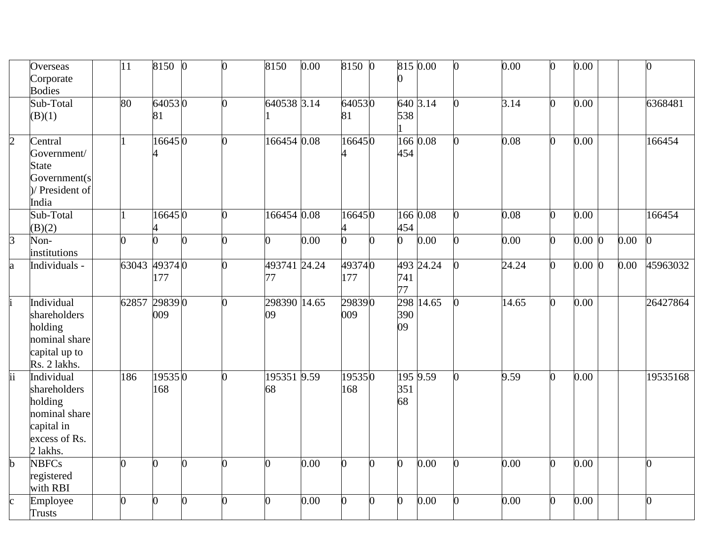|                          | Overseas                                                                                          | 11             | 8150           | $\vert$ 0 | $\overline{0}$ | 8150               | 0.00 | 8150 0         |   |                | 815 0.00  | 0.00  | 0.00      |      |          |
|--------------------------|---------------------------------------------------------------------------------------------------|----------------|----------------|-----------|----------------|--------------------|------|----------------|---|----------------|-----------|-------|-----------|------|----------|
|                          | Corporate<br><b>Bodies</b>                                                                        |                |                |           |                |                    |      |                |   |                |           |       |           |      |          |
|                          | Sub-Total<br>(B)(1)                                                                               | 80             | 640530<br>81   |           | 0              | 640538 3.14        |      | 640530<br>81   |   | 538            | 640 3.14  | 3.14  | 0.00      |      | 6368481  |
| $\overline{2}$           | Central<br>Government/<br><b>State</b><br>Government(s<br>)/ President of<br>India                |                | 166450         |           | $\overline{0}$ | 166454 0.08        |      | 166450         |   | 454            | 166 0.08  | 0.08  | 0.00      |      | 166454   |
|                          | Sub-Total<br>B(2)                                                                                 |                | 166450         |           |                | 166454 0.08        |      | 166450         |   | 454            | 166 0.08  | 0.08  | 0.00      |      | 166454   |
| $\overline{3}$           | Non-<br>institutions                                                                              | $\Omega$       |                |           | $\Omega$       | $\overline{0}$     | 0.00 | $\overline{0}$ |   | $\Omega$       | 0.00      | 0.00  | $0.00\,0$ | 0.00 |          |
| a                        | Individuals -                                                                                     | 63043 49374 0  | 177            |           | 0              | 493741 24.24<br>77 |      | 493740<br>177  |   | 741<br>77      | 493 24.24 | 24.24 | $0.00\,0$ | 0.00 | 45963032 |
|                          | Individual<br>shareholders<br>holding<br>nominal share<br>capital up to<br>Rs. 2 lakhs.           | 62857 29839 0  | 009            |           | $\Omega$       | 298390 14.65<br>09 |      | 298390<br>009  |   | 390<br>09      | 298 14.65 | 14.65 | 0.00      |      | 26427864 |
| $\overline{\mathrm{ii}}$ | Individual<br>shareholders<br>holding<br>nominal share<br>capital in<br>excess of Rs.<br>2 lakhs. | 186            | 195350<br>168  |           | ∩              | 195351 9.59<br>68  |      | 195350<br>168  |   | 351<br>68      | 195 9.59  | 9.59  | 0.00      |      | 19535168 |
| $\mathbf b$              | <b>NBFCs</b><br>registered<br>with RBI                                                            | $\overline{0}$ | 0              | 0         | 0              | $\overline{0}$     | 0.00 | 0              | O | $\overline{0}$ | 0.00      | 0.00  | 0.00      |      | O.       |
|                          | Employee<br>Trusts                                                                                | $\overline{0}$ | $\overline{0}$ | O         | $\overline{0}$ | 0                  | 0.00 | ∩              | ∩ | 0              | 0.00      | 0.00  | 0.00      |      | 0        |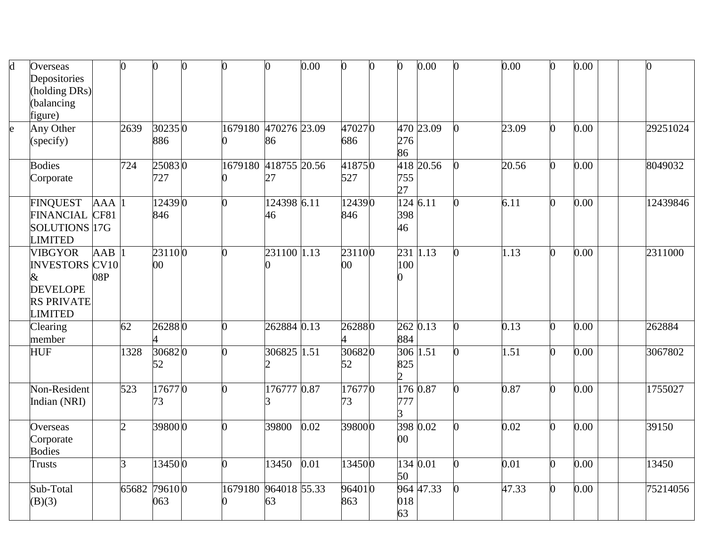| $\mathbf d$  | Overseas<br>Depositories<br>(holding DRs)<br>(balancing<br>figure)                                     |                         | 0              | 0                    | 0                    |                    | 0.00 | $\mathbf{0}$     | 0 | O                            | 0.00      |                | 0.00  |   | 0.00 |          |
|--------------|--------------------------------------------------------------------------------------------------------|-------------------------|----------------|----------------------|----------------------|--------------------|------|------------------|---|------------------------------|-----------|----------------|-------|---|------|----------|
| $\mathsf{e}$ | Any Other<br>(specify)                                                                                 |                         | 2639           | 302350<br>886        | 1679180 470276 23.09 | 86                 |      | 470270<br>686    |   | 276<br>86                    | 470 23.09 |                | 23.09 |   | 0.00 | 29251024 |
|              | <b>Bodies</b><br>Corporate                                                                             |                         | 724            | 250830<br>727        | 1679180 418755 20.56 | 27                 |      | 418750<br>527    |   | 755<br>27                    | 418 20.56 |                | 20.56 |   | 0.00 | 8049032  |
|              | <b>FINQUEST</b><br><b>FINANCIAL</b><br>SOLUTIONS 17G<br><b>LIMITED</b>                                 | AAA<br>CF81             |                | 124390<br>846        | 0                    | 124398 6.11<br>46  |      | 124390<br>846    |   | 398<br>46                    | 124 6.11  | 0              | 6.11  |   | 0.00 | 12439846 |
|              | <b>VIBGYOR</b><br><b>INVESTORS CV10</b><br>&<br><b>DEVELOPE</b><br><b>RS PRIVATE</b><br><b>LIMITED</b> | $A\overline{AB}$<br>08P |                | 231100<br>00         | 0                    | 231100 1.13        |      | 231100<br>$00\,$ |   | $231\overline{11.13}$<br>100 |           |                | 1.13  |   | 0.00 | 2311000  |
|              | Clearing<br>member                                                                                     |                         | 62             | 262880               | 0                    | 262884 0.13        |      | 262880           |   | 262 0.13<br>884              |           | 0              | 0.13  |   | 0.00 | 262884   |
|              | <b>HUF</b>                                                                                             |                         | 1328           | 306820<br>52         | 0                    | 306825 1.51        |      | 306820<br>52     |   | 306 1.51<br>825              |           | $\overline{0}$ | 1.51  |   | 0.00 | 3067802  |
|              | Non-Resident<br>Indian (NRI)                                                                           |                         | 523            | 176770<br>73         | O                    | 176777 0.87        |      | 176770<br>73     |   | 777                          | 176 0.87  |                | 0.87  |   | 0.00 | 1755027  |
|              | Overseas<br>Corporate<br><b>Bodies</b>                                                                 |                         | $\overline{2}$ | 398000               | 0                    | 39800              | 0.02 | 398000           |   | $00\,$                       | 398 0.02  |                | 0.02  |   | 0.00 | 39150    |
|              | Trusts                                                                                                 |                         | 3              | 134500               | $\Omega$             | 13450              | 0.01 | 134500           |   | 50                           | 134 0.01  |                | 0.01  | 0 | 0.00 | 13450    |
|              | Sub-Total<br>(B)(3)                                                                                    |                         |                | 65682 79610 0<br>063 | 1679180              | 964018 55.33<br>63 |      | 964010<br>863    |   | 018<br>63                    | 964 47.33 |                | 47.33 |   | 0.00 | 75214056 |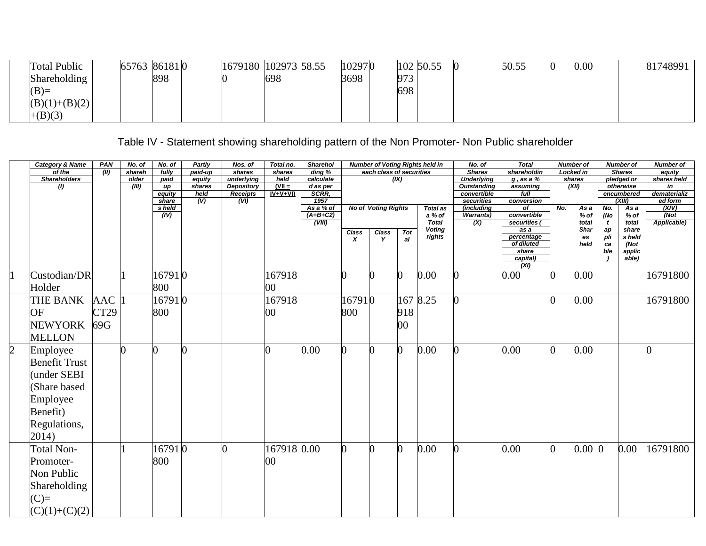| <b>Total Public</b> | 65763 861810 | 1679180 102973 58.55 |     | 102970 | 102 50.55 | 50.55 | $0.00\,$ | 81748991 |
|---------------------|--------------|----------------------|-----|--------|-----------|-------|----------|----------|
| Shareholding        | 898          |                      | 698 | 3698   | 973       |       |          |          |
| $(B)=$              |              |                      |     |        | 698       |       |          |          |
| $(B)(1)+(B)(2)$     |              |                      |     |        |           |       |          |          |
| $+(B)(3)$           |              |                      |     |        |           |       |          |          |

## Table IV - Statement showing shareholding pattern of the Non Promoter- Non Public shareholder

|                | <b>Category &amp; Name</b> | PAN        | No. of | No. of       | Partly         | Nos. of                       | Total no.        | <b>Sharehol</b>     |          |                            |                | <b>Number of Voting Rights held in</b> | No. of                            | <b>Total</b>         | <b>Number of</b> |                   |                          | <b>Number of</b>        | <b>Number of</b>   |
|----------------|----------------------------|------------|--------|--------------|----------------|-------------------------------|------------------|---------------------|----------|----------------------------|----------------|----------------------------------------|-----------------------------------|----------------------|------------------|-------------------|--------------------------|-------------------------|--------------------|
|                | of the                     | (II)       | shareh | fully        | paid-up        | shares                        | shares           | $\overline{ding}$ % |          | each class of securities   |                |                                        | <b>Shares</b>                     | shareholdin          | <b>Locked in</b> |                   |                          | <b>Shares</b>           | equity             |
|                | <b>Shareholders</b>        |            | older  | paid         | equity         | underlying                    | held<br>$(VII =$ | calculate           |          |                            | (X)            |                                        | <b>Underlying</b>                 | $q$ , as a %         |                  | shares            |                          | pledged or              | shares held        |
|                | $\mathcal{L}$              |            | (III)  | up<br>equity | shares<br>held | Depository<br><b>Receipts</b> | $IV+V+VI$        | $d$ as per<br>SCRR, |          |                            |                |                                        | <b>Outstanding</b><br>convertible | assuming<br>full     |                  | (XII)             |                          | otherwise<br>encumbered | in<br>dematerializ |
|                |                            |            |        | share        | (V)            | (VI)                          |                  | 1957                |          |                            |                |                                        | securities                        | conversion           |                  |                   |                          | (XIII)                  | ed form            |
|                |                            |            |        | s held       |                |                               |                  | As a % of           |          | <b>No of Voting Rights</b> |                | <b>Total as</b>                        | (including                        | of                   | No.              | As a              | No.                      | As a                    | (XIV)              |
|                |                            |            |        | (IV)         |                |                               |                  | $(A+B+C2)$          |          |                            |                | a % of                                 | <b>Warrants</b> )                 | convertible          |                  | $%$ of            | (No                      | $%$ of                  | (Not)              |
|                |                            |            |        |              |                |                               |                  | (VIII)              |          |                            |                | <b>Total</b><br><b>Voting</b>          | (X)                               | securities (<br>as a |                  | total             | $\mathbf{t}$             | total<br>share          | Applicable)        |
|                |                            |            |        |              |                |                               |                  |                     | Class    | Class                      | Tot            | rights                                 |                                   | percentage           |                  | <b>Shar</b><br>es | ap<br>pli                | s held                  |                    |
|                |                            |            |        |              |                |                               |                  |                     | x        | Y                          | al             |                                        |                                   | of diluted           |                  | held              | ca                       | (Not                    |                    |
|                |                            |            |        |              |                |                               |                  |                     |          |                            |                |                                        |                                   | share                |                  |                   | ble                      | applic                  |                    |
|                |                            |            |        |              |                |                               |                  |                     |          |                            |                |                                        |                                   | capital)<br>(XI)     |                  |                   | $\overline{\phantom{a}}$ | able)                   |                    |
|                | Custodian/DR               |            |        | 167910       |                |                               | 167918           |                     |          |                            |                | 0.00                                   |                                   | 0.00                 | 0                | 0.00              |                          |                         | 16791800           |
|                | Holder                     |            |        | 800          |                |                               | 00               |                     |          |                            |                |                                        |                                   |                      |                  |                   |                          |                         |                    |
|                | THE BANK                   | <b>AAC</b> |        | 16791 0      |                |                               | 167918           |                     | 167910   |                            |                | 167 8.25                               |                                   |                      | 0                | 0.00              |                          |                         | 16791800           |
|                | OF                         | CT29       |        | 800          |                |                               | 00               |                     | 800      |                            | 918            |                                        |                                   |                      |                  |                   |                          |                         |                    |
|                | <b>NEWYORK</b>             | 69G        |        |              |                |                               |                  |                     |          |                            | 00             |                                        |                                   |                      |                  |                   |                          |                         |                    |
|                | <b>MELLON</b>              |            |        |              |                |                               |                  |                     |          |                            |                |                                        |                                   |                      |                  |                   |                          |                         |                    |
| $\overline{2}$ | Employee                   |            |        |              | $\overline{0}$ |                               | $\overline{0}$   | 0.00                | $\bf{0}$ |                            | $\overline{0}$ | 0.00                                   |                                   | 0.00                 | 0                | 0.00              |                          |                         |                    |
|                | <b>Benefit Trust</b>       |            |        |              |                |                               |                  |                     |          |                            |                |                                        |                                   |                      |                  |                   |                          |                         |                    |
|                | under SEBI                 |            |        |              |                |                               |                  |                     |          |                            |                |                                        |                                   |                      |                  |                   |                          |                         |                    |
|                | Share based                |            |        |              |                |                               |                  |                     |          |                            |                |                                        |                                   |                      |                  |                   |                          |                         |                    |
|                | Employee                   |            |        |              |                |                               |                  |                     |          |                            |                |                                        |                                   |                      |                  |                   |                          |                         |                    |
|                | Benefit)                   |            |        |              |                |                               |                  |                     |          |                            |                |                                        |                                   |                      |                  |                   |                          |                         |                    |
|                | Regulations,               |            |        |              |                |                               |                  |                     |          |                            |                |                                        |                                   |                      |                  |                   |                          |                         |                    |
|                | 2014)                      |            |        |              |                |                               |                  |                     |          |                            |                |                                        |                                   |                      |                  |                   |                          |                         |                    |
|                | <b>Total Non-</b>          |            |        | 167910       |                |                               | 167918 0.00      |                     |          |                            | 0              | 0.00                                   |                                   | 0.00                 | 0                | $0.00\, 0$        |                          | 0.00                    | 16791800           |
|                | Promoter-                  |            |        | 800          |                |                               | 00               |                     |          |                            |                |                                        |                                   |                      |                  |                   |                          |                         |                    |
|                | Non Public                 |            |        |              |                |                               |                  |                     |          |                            |                |                                        |                                   |                      |                  |                   |                          |                         |                    |
|                | Shareholding               |            |        |              |                |                               |                  |                     |          |                            |                |                                        |                                   |                      |                  |                   |                          |                         |                    |
|                | $(C)=$                     |            |        |              |                |                               |                  |                     |          |                            |                |                                        |                                   |                      |                  |                   |                          |                         |                    |
|                | $(C)(1)+(C)(2)$            |            |        |              |                |                               |                  |                     |          |                            |                |                                        |                                   |                      |                  |                   |                          |                         |                    |